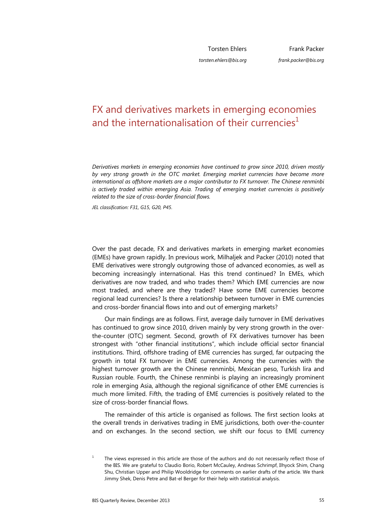Torsten Ehlers *torsten.ehlers@bis.org*

# FX and derivatives markets in emerging economies and the internationalisation of their currencies<sup>1</sup>

*Derivatives markets in emerging economies have continued to grow since 2010, driven mostly by very strong growth in the OTC market. Emerging market currencies have become more international as offshore markets are a major contributor to FX turnover. The Chinese renminbi is actively traded within emerging Asia. Trading of emerging market currencies is positively related to the size of cross-border financial flows.* 

*JEL classification: F31, G15, G20, P45*.

Over the past decade, FX and derivatives markets in emerging market economies (EMEs) have grown rapidly. In previous work, Milhaljek and Packer (2010) noted that EME derivatives were strongly outgrowing those of advanced economies, as well as becoming increasingly international. Has this trend continued? In EMEs, which derivatives are now traded, and who trades them? Which EME currencies are now most traded, and where are they traded? Have some EME currencies become regional lead currencies? Is there a relationship between turnover in EME currencies and cross-border financial flows into and out of emerging markets?

Our main findings are as follows. First, average daily turnover in EME derivatives has continued to grow since 2010, driven mainly by very strong growth in the overthe-counter (OTC) segment. Second, growth of FX derivatives turnover has been strongest with "other financial institutions", which include official sector financial institutions. Third, offshore trading of EME currencies has surged, far outpacing the growth in total FX turnover in EME currencies. Among the currencies with the highest turnover growth are the Chinese renminbi, Mexican peso, Turkish lira and Russian rouble. Fourth, the Chinese renminbi is playing an increasingly prominent role in emerging Asia, although the regional significance of other EME currencies is much more limited. Fifth, the trading of EME currencies is positively related to the size of cross-border financial flows.

The remainder of this article is organised as follows. The first section looks at the overall trends in derivatives trading in EME jurisdictions, both over-the-counter and on exchanges. In the second section, we shift our focus to EME currency

<sup>1</sup> The views expressed in this article are those of the authors and do not necessarily reflect those of the BIS. We are grateful to Claudio Borio, Robert McCauley, Andreas Schrimpf, Ilhyock Shim, Chang Shu, Christian Upper and Philip Wooldridge for comments on earlier drafts of the article. We thank Jimmy Shek, Denis Petre and Bat-el Berger for their help with statistical analysis.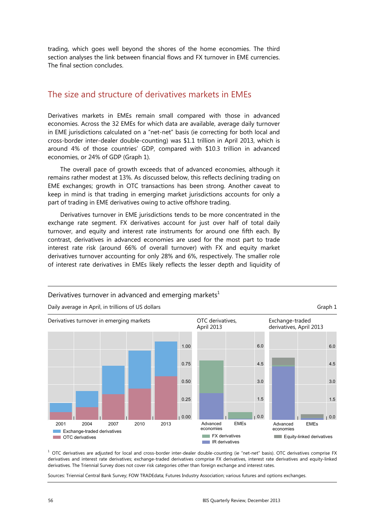trading, which goes well beyond the shores of the home economies. The third section analyses the link between financial flows and FX turnover in EME currencies. The final section concludes.

# The size and structure of derivatives markets in EMEs

Derivatives markets in EMEs remain small compared with those in advanced economies. Across the 32 EMEs for which data are available, average daily turnover in EME jurisdictions calculated on a "net-net" basis (ie correcting for both local and cross-border inter-dealer double-counting) was \$1.1 trillion in April 2013, which is around 4% of those countries' GDP, compared with \$10.3 trillion in advanced economies, or 24% of GDP (Graph 1).

The overall pace of growth exceeds that of advanced economies, although it remains rather modest at 13%. As discussed below, this reflects declining trading on EME exchanges; growth in OTC transactions has been strong. Another caveat to keep in mind is that trading in emerging market jurisdictions accounts for only a part of trading in EME derivatives owing to active offshore trading.

Derivatives turnover in EME jurisdictions tends to be more concentrated in the exchange rate segment. FX derivatives account for just over half of total daily turnover, and equity and interest rate instruments for around one fifth each. By contrast, derivatives in advanced economies are used for the most part to trade interest rate risk (around 66% of overall turnover) with FX and equity market derivatives turnover accounting for only 28% and 6%, respectively. The smaller role of interest rate derivatives in EMEs likely reflects the lesser depth and liquidity of



Derivatives turnover in advanced and emerging markets $1$ 

 $^1$  OTC derivatives are adjusted for local and cross-border inter-dealer double-counting (ie "net-net" basis). OTC derivatives comprise FX derivatives and interest rate derivatives; exchange-traded derivatives comprise FX derivatives, interest rate derivatives and equity-linked derivatives. The Triennial Survey does not cover risk categories other than foreign exchange and interest rates.

Sources: Triennial Central Bank Survey; FOW TRADEdata; Futures Industry Association; various futures and options exchanges.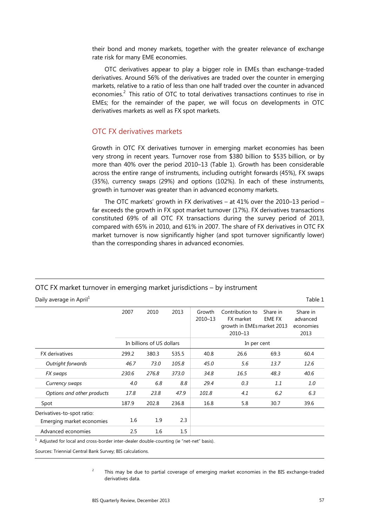their bond and money markets, together with the greater relevance of exchange rate risk for many EME economies.

OTC derivatives appear to play a bigger role in EMEs than exchange-traded derivatives. Around 56% of the derivatives are traded over the counter in emerging markets, relative to a ratio of less than one half traded over the counter in advanced economies.<sup>2</sup> This ratio of OTC to total derivatives transactions continues to rise in EMEs; for the remainder of the paper, we will focus on developments in OTC derivatives markets as well as FX spot markets.

### OTC FX derivatives markets

Growth in OTC FX derivatives turnover in emerging market economies has been very strong in recent years. Turnover rose from \$380 billion to \$535 billion, or by more than 40% over the period 2010–13 (Table 1). Growth has been considerable across the entire range of instruments, including outright forwards (45%), FX swaps (35%), currency swaps (29%) and options (102%). In each of these instruments, growth in turnover was greater than in advanced economy markets.

The OTC markets' growth in FX derivatives – at 41% over the 2010–13 period – far exceeds the growth in FX spot market turnover (17%). FX derivatives transactions constituted 69% of all OTC FX transactions during the survey period of 2013, compared with 65% in 2010, and 61% in 2007. The share of FX derivatives in OTC FX market turnover is now significantly higher (and spot turnover significantly lower) than the corresponding shares in advanced economies.

### OTC FX market turnover in emerging market jurisdictions – by instrument

Daily average in April<sup>1</sup> Table 1

|                            | 2007  | 2010                      | 2013  | Growth<br>2010-13 | Contribution to<br>FX market<br>growth in EMEs market 2013<br>2010-13 | Share in<br>EME FX | Share in<br>advanced<br>economies<br>2013 |
|----------------------------|-------|---------------------------|-------|-------------------|-----------------------------------------------------------------------|--------------------|-------------------------------------------|
|                            |       | In billions of US dollars |       |                   |                                                                       |                    |                                           |
| <b>FX</b> derivatives      | 299.2 | 380.3                     | 535.5 | 40.8              | 26.6                                                                  | 69.3               | 60.4                                      |
| Outright forwards          | 46.7  | 73.0                      | 105.8 | 45.0              | 5.6<br>13.7                                                           |                    | 12.6                                      |
| FX swaps                   | 230.6 | 276.8                     | 373.0 | 34.8              | 16.5                                                                  | 48.3               | 40.6                                      |
| Currency swaps             | 4.0   | 6.8                       | 8.8   | 29.4              | 0.3<br>1.1                                                            |                    | 1.0                                       |
| Options and other products | 17.8  | 23.8                      | 47.9  | 101.8             | 6.2<br>4.1                                                            |                    | 6.3                                       |
| Spot                       | 187.9 | 202.8                     | 236.8 | 16.8              | 5.8                                                                   | 30.7               | 39.6                                      |
| Derivatives-to-spot ratio: |       |                           |       |                   |                                                                       |                    |                                           |
| Emerging market economies  | 1.6   | 1.9                       | 2.3   |                   |                                                                       |                    |                                           |
| Advanced economies         | 2.5   | 1.6                       | 1.5   |                   |                                                                       |                    |                                           |

 $1$  Adjusted for local and cross-border inter-dealer double-counting (ie "net-net" basis).

Sources: Triennial Central Bank Survey; BIS calculations.

 $\overline{2}$  This may be due to partial coverage of emerging market economies in the BIS exchange-traded derivatives data.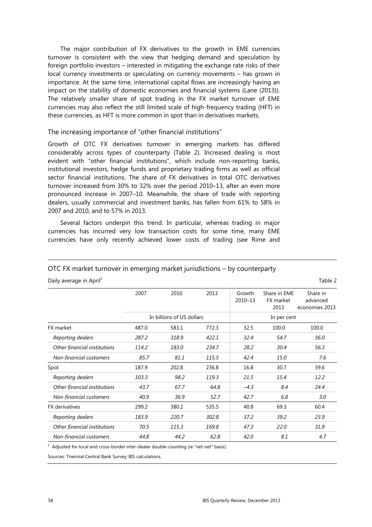The major contribution of FX derivatives to the growth in EME currencies turnover is consistent with the view that hedging demand and speculation by foreign portfolio investors – interested in mitigating the exchange rate risks of their local currency investments or speculating on currency movements – has grown in importance. At the same time, international capital flows are increasingly having an impact on the stability of domestic economies and financial systems (Lane (2013)). The relatively smaller share of spot trading in the FX market turnover of EME currencies may also reflect the still limited scale of high-frequency trading (HFT) in these currencies, as HFT is more common in spot than in derivatives markets.

#### The increasing importance of "other financial institutions"

Growth of OTC FX derivatives turnover in emerging markets has differed considerably across types of counterparty (Table 2). Increased dealing is most evident with "other financial institutions", which include non-reporting banks, institutional investors, hedge funds and proprietary trading firms as well as official sector financial institutions. The share of FX derivatives in total OTC derivatives turnover increased from 30% to 32% over the period 2010–13, after an even more pronounced increase in 2007–10. Meanwhile, the share of trade with reporting dealers, usually commercial and investment banks, has fallen from 61% to 58% in 2007 and 2010, and to 57% in 2013.

Several factors underpin this trend. In particular, whereas trading in major currencies has incurred very low transaction costs for some time, many EME currencies have only recently achieved lower costs of trading (see Rime and

#### OTC FX market turnover in emerging market jurisdictions – by counterparty

|                              | 2007  | 2010                      | 2013  | Growth<br>2010-13 | Share in EME<br>FX market<br>2013 | Share in<br>advanced<br>economies 2013 |  |
|------------------------------|-------|---------------------------|-------|-------------------|-----------------------------------|----------------------------------------|--|
|                              |       | In billions of US dollars |       | In per cent       |                                   |                                        |  |
| FX market                    | 487.0 | 583.1                     | 772.3 | 32.5              | 100.0                             | 100.0                                  |  |
| Reporting dealers            | 287.2 | 318.9                     | 422.1 | 32.4              | 54.7                              | 36.0                                   |  |
| Other financial institutions | 114.2 | 183.0                     | 234.7 | 28.2              | 30.4                              | 56.3                                   |  |
| Non-financial customers      | 85.7  | 81.1                      | 115.5 | 42.4              | 15.0                              | 7.6                                    |  |
| Spot                         | 187.9 | 202.8                     | 236.8 | 16.8              | 30.7                              | 39.6                                   |  |
| Reporting dealers            | 103.3 | 98.2                      | 119.3 | 21.5              | 15.4                              | 12.2                                   |  |
| Other financial institutions | 43.7  | 67.7                      | 64.8  | $-4.3$            | 8.4                               | 24.4                                   |  |
| Non-financial customers      | 40.9  | 36.9                      | 52.7  | 42.7              | 6.8                               | 3.0                                    |  |
| <b>FX</b> derivatives        | 299.2 | 380.2                     | 535.5 | 40.8              | 69.3                              | 60.4                                   |  |
| Reporting dealers            | 183.9 | 220.7                     | 302.8 | 37.2              | 39.2                              | 23.9                                   |  |
| Other financial institutions | 70.5  | 115.3                     | 169.8 | 47.3              | 22.0                              | 31.9                                   |  |
| Non-financial customers      | 44.8  | 44.2                      | 62.8  | 42.0              | 8.1                               | 4.7                                    |  |
|                              |       |                           |       |                   |                                   |                                        |  |

Daily average in April<sup>1</sup>  $\blacksquare$ 

 $1$  Adjusted for local and cross-border inter-dealer double-counting (ie "net-net" basis).

Sources: Triennial Central Bank Survey; BIS calculations.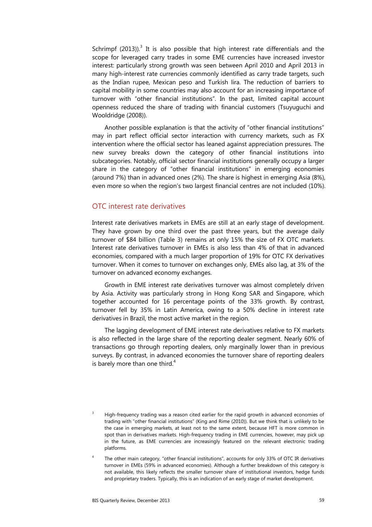Schrimpf (2013)).<sup>3</sup> It is also possible that high interest rate differentials and the scope for leveraged carry trades in some EME currencies have increased investor interest: particularly strong growth was seen between April 2010 and April 2013 in many high-interest rate currencies commonly identified as carry trade targets, such as the Indian rupee, Mexican peso and Turkish lira. The reduction of barriers to capital mobility in some countries may also account for an increasing importance of turnover with "other financial institutions". In the past, limited capital account openness reduced the share of trading with financial customers (Tsuyuguchi and Wooldridge (2008)).

Another possible explanation is that the activity of "other financial institutions" may in part reflect official sector interaction with currency markets, such as FX intervention where the official sector has leaned against appreciation pressures. The new survey breaks down the category of other financial institutions into subcategories. Notably, official sector financial institutions generally occupy a larger share in the category of "other financial institutions" in emerging economies (around 7%) than in advanced ones (2%). The share is highest in emerging Asia (8%), even more so when the region's two largest financial centres are not included (10%).

#### OTC interest rate derivatives

Interest rate derivatives markets in EMEs are still at an early stage of development. They have grown by one third over the past three years, but the average daily turnover of \$84 billion (Table 3) remains at only 15% the size of FX OTC markets. Interest rate derivatives turnover in EMEs is also less than 4% of that in advanced economies, compared with a much larger proportion of 19% for OTC FX derivatives turnover. When it comes to turnover on exchanges only, EMEs also lag, at 3% of the turnover on advanced economy exchanges.

Growth in EME interest rate derivatives turnover was almost completely driven by Asia. Activity was particularly strong in Hong Kong SAR and Singapore, which together accounted for 16 percentage points of the 33% growth. By contrast, turnover fell by 35% in Latin America, owing to a 50% decline in interest rate derivatives in Brazil, the most active market in the region.

The lagging development of EME interest rate derivatives relative to FX markets is also reflected in the large share of the reporting dealer segment. Nearly 60% of transactions go through reporting dealers, only marginally lower than in previous surveys. By contrast, in advanced economies the turnover share of reporting dealers is barely more than one third.<sup>4</sup>

<sup>3</sup> High-frequency trading was a reason cited earlier for the rapid growth in advanced economies of trading with "other financial institutions" (King and Rime (2010)). But we think that is unlikely to be the case in emerging markets, at least not to the same extent, because HFT is more common in spot than in derivatives markets. High-frequency trading in EME currencies, however, may pick up in the future, as EME currencies are increasingly featured on the relevant electronic trading platforms.

<sup>4</sup> The other main category, "other financial institutions", accounts for only 33% of OTC IR derivatives turnover in EMEs (59% in advanced economies). Although a further breakdown of this category is not available, this likely reflects the smaller turnover share of institutional investors, hedge funds and proprietary traders. Typically, this is an indication of an early stage of market development.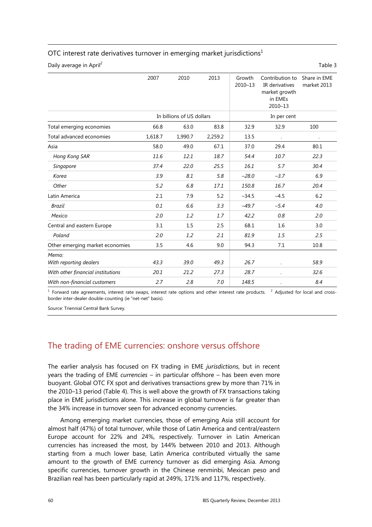#### OTC interest rate derivatives turnover in emerging market jurisdictions<sup>1</sup>

Daily average in April<sup>2</sup> Table 3

|                                   | 2007    | 2010                      | 2013    | Growth<br>2010-13 | Contribution to<br>IR derivatives<br>market growth<br>in EMEs<br>2010-13 | Share in EME<br>market 2013 |  |  |
|-----------------------------------|---------|---------------------------|---------|-------------------|--------------------------------------------------------------------------|-----------------------------|--|--|
|                                   |         | In billions of US dollars |         | In per cent       |                                                                          |                             |  |  |
| Total emerging economies          | 66.8    | 63.0                      | 83.8    | 32.9              | 32.9                                                                     | 100                         |  |  |
| Total advanced economies          | 1,618.7 | 1,990.7                   | 2,259.2 | 13.5              |                                                                          |                             |  |  |
| Asia                              | 58.0    | 49.0                      | 67.1    | 37.0              | 29.4                                                                     | 80.1                        |  |  |
| Hong Kong SAR                     | 11.6    | 12.1                      | 18.7    | 54.4              | 10.7                                                                     | 22.3                        |  |  |
| Singapore                         | 37.4    | 22.0                      | 25.5    | 16.1              | 5.7                                                                      | 30.4                        |  |  |
| Korea                             | 3.9     | 8.1                       | 5.8     | $-28.0$           | $-3.7$                                                                   | 6.9                         |  |  |
| Other                             | 5.2     | 6.8                       | 17.1    | 150.8             | 16.7                                                                     | 20.4                        |  |  |
| Latin America                     | 2.1     | 7.9                       | 5.2     | $-34.5$           | $-4.5$                                                                   | 6.2                         |  |  |
| <b>Brazil</b>                     | 0.1     | 6.6                       | 3.3     | $-49.7$           | $-5.4$                                                                   | 4.0                         |  |  |
| Mexico                            | 2.0     | 1.2                       | 1.7     | 42.2              | 0.8                                                                      | 2.0                         |  |  |
| Central and eastern Europe        | 3.1     | 1.5                       | 2.5     | 68.1              | 1.6                                                                      | 3.0                         |  |  |
| Poland                            | 2.0     | 1.2                       | 2.1     | 81.9              | 1.5                                                                      | 2.5                         |  |  |
| Other emerging market economies   | 3.5     | 4.6                       | 9.0     | 94.3              | 7.1                                                                      | 10.8                        |  |  |
| Memo:<br>With reporting dealers   | 43.3    | 39.0                      | 49.3    | 26.7              | $\bullet$                                                                | 58.9                        |  |  |
| With other financial institutions | 20.1    | 21.2                      | 27.3    | 28.7              |                                                                          | 32.6                        |  |  |
| With non-financial customers      | 2.7     | 2.8                       | 7.0     | 148.5             |                                                                          | 8.4                         |  |  |

<sup>1</sup> Forward rate agreements, interest rate swaps, interest rate options and other interest rate products. <sup>2</sup> Adjusted for local and crossborder inter-dealer double-counting (ie "net-net" basis).

Source: Triennial Central Bank Survey.

# The trading of EME currencies: onshore versus offshore

The earlier analysis has focused on FX trading in EME *jurisdictions*, but in recent years the trading of EME *currencies* – in particular offshore – has been even more buoyant. Global OTC FX spot and derivatives transactions grew by more than 71% in the 2010–13 period (Table 4). This is well above the growth of FX transactions taking place in EME jurisdictions alone. This increase in global turnover is far greater than the 34% increase in turnover seen for advanced economy currencies.

Among emerging market currencies, those of emerging Asia still account for almost half (47%) of total turnover, while those of Latin America and central/eastern Europe account for 22% and 24%, respectively. Turnover in Latin American currencies has increased the most, by 144% between 2010 and 2013. Although starting from a much lower base, Latin America contributed virtually the same amount to the growth of EME currency turnover as did emerging Asia. Among specific currencies, turnover growth in the Chinese renminbi, Mexican peso and Brazilian real has been particularly rapid at 249%, 171% and 117%, respectively.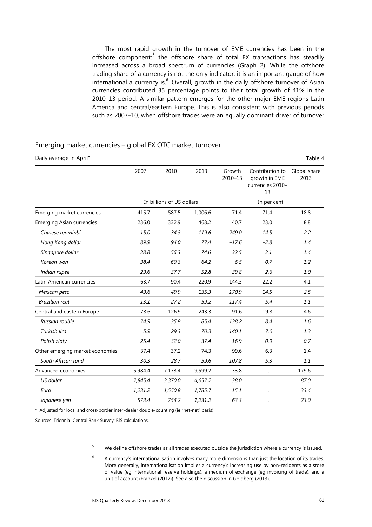The most rapid growth in the turnover of EME currencies has been in the offshore component.<sup>5</sup> the offshore share of total FX transactions has steadily increased across a broad spectrum of currencies (Graph 2). While the offshore trading share of a currency is not the only indicator, it is an important gauge of how international a currency is. $^{6}$  Overall, growth in the daily offshore turnover of Asian currencies contributed 35 percentage points to their total growth of 41% in the 2010–13 period. A similar pattern emerges for the other major EME regions Latin America and central/eastern Europe. This is also consistent with previous periods such as 2007–10, when offshore trades were an equally dominant driver of turnover

#### Emerging market currencies – global FX OTC market turnover

| Daily average in April <sup>1</sup><br>Table 4 |         |                           |         |                       |                                                            |                      |  |
|------------------------------------------------|---------|---------------------------|---------|-----------------------|------------------------------------------------------------|----------------------|--|
|                                                | 2007    | 2010                      | 2013    | Growth<br>$2010 - 13$ | Contribution to<br>growth in EME<br>currencies 2010-<br>13 | Global share<br>2013 |  |
|                                                |         | In billions of US dollars |         | In per cent           |                                                            |                      |  |
| Emerging market currencies                     | 415.7   | 587.5                     | 1,006.6 | 71.4                  | 71.4                                                       | 18.8                 |  |
| <b>Emerging Asian currencies</b>               | 236.0   | 332.9                     | 468.2   | 40.7                  | 23.0                                                       | 8.8                  |  |
| Chinese renminbi                               | 15.0    | 34.3                      | 119.6   | 249.0                 | 14.5                                                       | 2.2                  |  |
| Hong Kong dollar                               | 89.9    | 94.0                      | 77.4    | $-17.6$               | $-2.8$                                                     | 1.4                  |  |
| Singapore dollar                               | 38.8    | 56.3                      | 74.6    | 32.5                  | 3.1                                                        | 1.4                  |  |
| Korean won                                     | 38.4    | 60.3                      | 64.2    | 6.5                   | 0.7                                                        | 1.2                  |  |
| Indian rupee                                   | 23.6    | 37.7                      | 52.8    | 39.8                  | 2.6                                                        | 1.0                  |  |
| Latin American currencies                      | 63.7    | 90.4                      | 220.9   | 144.3                 | 22.2                                                       | 4.1                  |  |
| Mexican peso                                   | 43.6    | 49.9                      | 135.3   | 170.9                 | 14.5                                                       | 2.5                  |  |
| <b>Brazilian real</b>                          | 13.1    | 27.2                      | 59.2    | 117.4                 | 5.4                                                        | 1.1                  |  |
| Central and eastern Europe                     | 78.6    | 126.9                     | 243.3   | 91.6                  | 19.8                                                       | 4.6                  |  |
| Russian rouble                                 | 24.9    | 35.8                      | 85.4    | 138.2                 | 8.4                                                        | 1.6                  |  |
| Turkish lira                                   | 5.9     | 29.3                      | 70.3    | 140.1                 | 7.0                                                        | 1.3                  |  |
| Polish zloty                                   | 25.4    | 32.0                      | 37.4    | 16.9                  | 0.9                                                        | 0.7                  |  |
| Other emerging market economies                | 37.4    | 37.2                      | 74.3    | 99.6                  | 6.3                                                        | 1.4                  |  |
| South African rand                             | 30.3    | 28.7                      | 59.6    | 107.8                 | 5.3                                                        | 1.1                  |  |
| Advanced economies                             | 5,984.4 | 7,173.4                   | 9,599.2 | 33.8                  |                                                            | 179.6                |  |
| US dollar                                      | 2,845.4 | 3,370.0                   | 4,652.2 | 38.0                  | $\ddot{\phantom{0}}$                                       | 87.0                 |  |
| Euro                                           | 1,231.2 | 1,550.8                   | 1,785.7 | 15.1                  |                                                            | 33.4                 |  |
| Japanese yen                                   | 573.4   | 754.2                     | 1,231.2 | 63.3                  |                                                            | 23.0                 |  |

 $1$  Adjusted for local and cross-border inter-dealer double-counting (ie "net-net" basis).

Sources: Triennial Central Bank Survey; BIS calculations.

5 We define offshore trades as all trades executed outside the jurisdiction where a currency is issued.

6 A currency's internationalisation involves many more dimensions than just the location of its trades. More generally, internationalisation implies a currency's increasing use by non-residents as a store of value (eg international reserve holdings), a medium of exchange (eg invoicing of trade), and a unit of account (Frankel (2012)). See also the discussion in Goldberg (2013).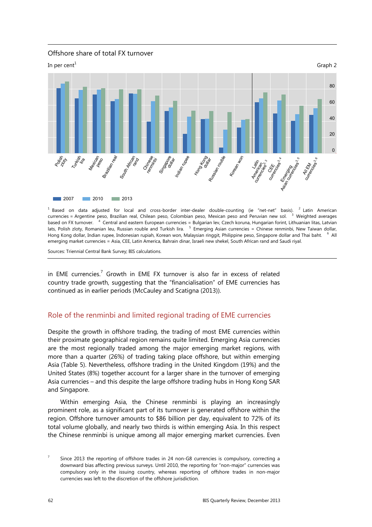



<sup>1</sup> Based on data adjusted for local and cross-border inter-dealer double-counting (ie "net-net" basis). <sup>2</sup> Latin American currencies = Argentine peso, Brazilian real, Chilean peso, Colombian peso, Mexican peso and Peruvian new sol. <sup>3</sup>  $3$  Weighted averages based on FX turnover. <sup>4</sup> Central and eastern European currencies = Bulgarian lev, Czech koruna, Hungarian forint, Lithuanian litas, Latvian lats, Polish zloty, Romanian leu, Russian rouble and Turkish lira. <sup>5</sup> Emerging Asian currencies = Chinese renminbi, New Taiwan dollar, Hong Kong dollar, Indian rupee, Indonesian rupiah, Korean won, Malaysian ringgit, Philippine peso, Singapore dollar and Thai baht. <sup>6</sup>  $6$  All emerging market currencies = Asia, CEE, Latin America, Bahrain dinar, Israeli new shekel, South African rand and Saudi riyal.

Sources: Triennial Central Bank Survey; BIS calculations.

in EME currencies.<sup>7</sup> Growth in EME FX turnover is also far in excess of related country trade growth, suggesting that the "financialisation" of EME currencies has continued as in earlier periods (McCauley and Scatigna (2013)).

### Role of the renminbi and limited regional trading of EME currencies

Despite the growth in offshore trading, the trading of most EME currencies within their proximate geographical region remains quite limited. Emerging Asia currencies are the most regionally traded among the major emerging market regions, with more than a quarter (26%) of trading taking place offshore, but within emerging Asia (Table 5). Nevertheless, offshore trading in the United Kingdom (19%) and the United States (8%) together account for a larger share in the turnover of emerging Asia currencies – and this despite the large offshore trading hubs in Hong Kong SAR and Singapore.

Within emerging Asia, the Chinese renminbi is playing an increasingly prominent role, as a significant part of its turnover is generated offshore within the region. Offshore turnover amounts to \$86 billion per day, equivalent to 72% of its total volume globally, and nearly two thirds is within emerging Asia. In this respect the Chinese renminbi is unique among all major emerging market currencies. Even

<sup>7</sup> Since 2013 the reporting of offshore trades in 24 non-G8 currencies is compulsory, correcting a downward bias affecting previous surveys. Until 2010, the reporting for "non-major" currencies was compulsory only in the issuing country, whereas reporting of offshore trades in non-major currencies was left to the discretion of the offshore jurisdiction.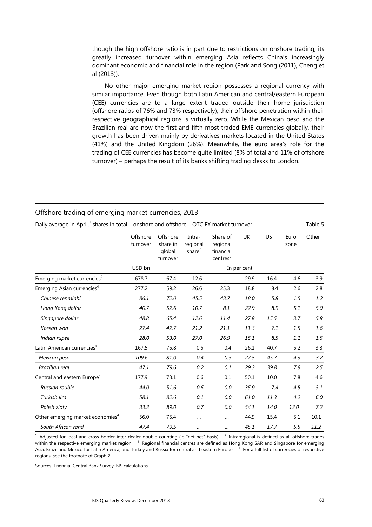though the high offshore ratio is in part due to restrictions on onshore trading, its greatly increased turnover within emerging Asia reflects China's increasingly dominant economic and financial role in the region (Park and Song (2011), Cheng et al (2013)).

No other major emerging market region possesses a regional currency with similar importance. Even though both Latin American and central/eastern European (CEE) currencies are to a large extent traded outside their home jurisdiction (offshore ratios of 76% and 73% respectively), their offshore penetration within their respective geographical regions is virtually zero. While the Mexican peso and the Brazilian real are now the first and fifth most traded EME currencies globally, their growth has been driven mainly by derivatives markets located in the United States (41%) and the United Kingdom (26%). Meanwhile, the euro area's role for the trading of CEE currencies has become quite limited (8% of total and 11% of offshore turnover) – perhaps the result of its banks shifting trading desks to London.

| Daily average in April, $1$ shares in total – onshore and offshore – OTC FX market turnover |                      |                                            |                                 |                                                           |             |      |              | Table 5 |
|---------------------------------------------------------------------------------------------|----------------------|--------------------------------------------|---------------------------------|-----------------------------------------------------------|-------------|------|--------------|---------|
|                                                                                             | Offshore<br>turnover | Offshore<br>share in<br>global<br>turnover | Intra-<br>regional<br>share $2$ | Share of<br>regional<br>financial<br>centres <sup>3</sup> | <b>UK</b>   | US   | Euro<br>zone | Other   |
|                                                                                             | USD bn               |                                            |                                 |                                                           | In per cent |      |              |         |
| Emerging market currencies <sup>4</sup>                                                     | 678.7                | 67.4                                       | 12.6                            |                                                           | 29.9        | 16.4 | 4.6          | 3.9     |
| Emerging Asian currencies <sup>4</sup>                                                      | 277.2                | 59.2                                       | 26.6                            | 25.3                                                      | 18.8        | 8.4  | 2.6          | 2.8     |
| Chinese renminbi                                                                            | 86.1                 | 72.0                                       | 45.5                            | 43.7                                                      | 18.0        | 5.8  | 1.5          | 1.2     |
| Hong Kong dollar                                                                            | 40.7                 | 52.6                                       | 10.7                            | 8.1                                                       | 22.9        | 8.9  | 5.1          | 5.0     |
| Singapore dollar                                                                            | 48.8                 | 65.4                                       | 12.6                            | 11.4                                                      | 27.8        | 15.5 | 3.7          | 5.8     |
| Korean won                                                                                  | 27.4                 | 42.7                                       | 21.2                            | 21.1                                                      | 11.3        | 7.1  | 1.5          | 1.6     |
| Indian rupee                                                                                | 28.0                 | 53.0                                       | 27.0                            | 26.9                                                      | 15.1        | 8.5  | 1.1          | 1.5     |
| Latin American currencies <sup>4</sup>                                                      | 167.5                | 75.8                                       | 0.5                             | 0.4                                                       | 26.1        | 40.7 | 5.2          | 3.3     |
| Mexican peso                                                                                | 109.6                | 81.0                                       | 0.4                             | 0.3                                                       | 27.5        | 45.7 | 4.3          | 3.2     |
| <b>Brazilian real</b>                                                                       | 47.1                 | 79.6                                       | 0.2                             | 0.1                                                       | 29.3        | 39.8 | 7.9          | 2.5     |
| Central and eastern Europe <sup>4</sup>                                                     | 177.9                | 73.1                                       | 0.6                             | 0.1                                                       | 50.1        | 10.0 | 7.8          | 4.6     |
| Russian rouble                                                                              | 44.0                 | 51.6                                       | 0.6                             | 0.0                                                       | 35.9        | 7.4  | 4.5          | 3.1     |
| Turkish lira                                                                                | 58.1                 | 82.6                                       | 0.1                             | 0.0                                                       | 61.0        | 11.3 | 4.2          | 6.0     |
| Polish zloty                                                                                | 33.3                 | 89.0                                       | 0.7                             | 0.0                                                       | 54.1        | 14.0 | 13.0         | 7.2     |
| Other emerging market economies <sup>4</sup>                                                | 56.0                 | 75.4                                       | $\cdots$                        |                                                           | 44.9        | 15.4 | 5.1          | 10.1    |
| South African rand                                                                          | 47.4                 | 79.5                                       |                                 |                                                           | 45.1        | 17.7 | 5.5          | 11.2    |

Offshore trading of emerging market currencies, 2013

 $1$  Adjusted for local and cross-border inter-dealer double-counting (ie "net-net" basis).  $2$  Intraregional is defined as all offshore trades within the respective emerging market region.  $^{-3}$  Regional financial centres are defined as Hong Kong SAR and Singapore for emerging Asia, Brazil and Mexico for Latin America, and Turkey and Russia for central and eastern Europe. <sup>4</sup> For a full list of currencies of respective regions, see the footnote of Graph 2.

Sources: Triennial Central Bank Survey; BIS calculations.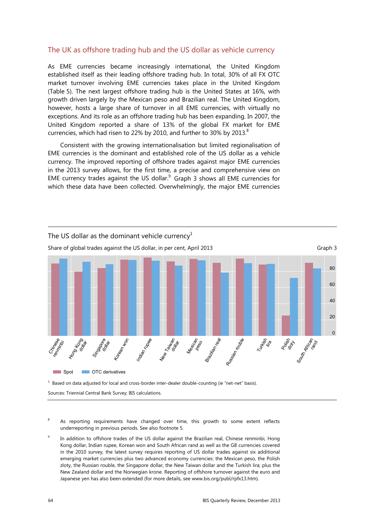### The UK as offshore trading hub and the US dollar as vehicle currency

As EME currencies became increasingly international, the United Kingdom established itself as their leading offshore trading hub. In total, 30% of all FX OTC market turnover involving EME currencies takes place in the United Kingdom (Table 5). The next largest offshore trading hub is the United States at 16%, with growth driven largely by the Mexican peso and Brazilian real. The United Kingdom, however, hosts a large share of turnover in all EME currencies, with virtually no exceptions. And its role as an offshore trading hub has been expanding. In 2007, the United Kingdom reported a share of 13% of the global FX market for EME currencies, which had risen to 22% by 2010, and further to 30% by 2013. $8$ 

Consistent with the growing internationalisation but limited regionalisation of EME currencies is the dominant and established role of the US dollar as a vehicle currency. The improved reporting of offshore trades against major EME currencies in the 2013 survey allows, for the first time, a precise and comprehensive view on EME currency trades against the US dollar. $^{9}$  Graph 3 shows all EME currencies for which these data have been collected. Overwhelmingly, the major EME currencies



 $<sup>1</sup>$  Based on data adjusted for local and cross-border inter-dealer double-counting (ie "net-net" basis).</sup>

Sources: Triennial Central Bank Survey; BIS calculations.

- 8 As reporting requirements have changed over time, this growth to some extent reflects underreporting in previous periods. See also footnote 5.
- 9 In addition to offshore trades of the US dollar against the Brazilian real, Chinese renminbi, Hong Kong dollar, Indian rupee, Korean won and South African rand as well as the G8 currencies covered in the 2010 survey, the latest survey requires reporting of US dollar trades against six additional emerging market currencies plus two advanced economy currencies: the Mexican peso, the Polish zloty, the Russian rouble, the Singapore dollar, the New Taiwan dollar and the Turkish lira; plus the New Zealand dollar and the Norwegian krone. Reporting of offshore turnover against the euro and Japanese yen has also been extended (for more details, see www.bis.org/publ/rpfx13.htm).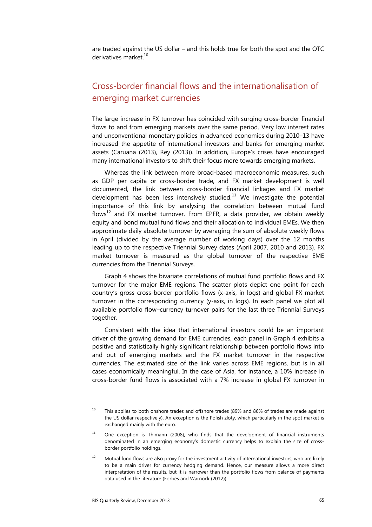are traded against the US dollar – and this holds true for both the spot and the OTC derivatives market.<sup>10</sup>

# Cross-border financial flows and the internationalisation of emerging market currencies

The large increase in FX turnover has coincided with surging cross-border financial flows to and from emerging markets over the same period. Very low interest rates and unconventional monetary policies in advanced economies during 2010–13 have increased the appetite of international investors and banks for emerging market assets (Caruana (2013), Rey (2013)). In addition, Europe's crises have encouraged many international investors to shift their focus more towards emerging markets.

Whereas the link between more broad-based macroeconomic measures, such as GDP per capita or cross-border trade, and FX market development is well documented, the link between cross-border financial linkages and FX market development has been less intensively studied.<sup>11</sup> We investigate the potential importance of this link by analysing the correlation between mutual fund flows<sup>12</sup> and FX market turnover. From EPFR, a data provider, we obtain weekly equity and bond mutual fund flows and their allocation to individual EMEs. We then approximate daily absolute turnover by averaging the sum of absolute weekly flows in April (divided by the average number of working days) over the 12 months leading up to the respective Triennial Survey dates (April 2007, 2010 and 2013). FX market turnover is measured as the global turnover of the respective EME currencies from the Triennial Surveys.

Graph 4 shows the bivariate correlations of mutual fund portfolio flows and FX turnover for the major EME regions. The scatter plots depict one point for each country's gross cross-border portfolio flows (x-axis, in logs) and global FX market turnover in the corresponding currency (y-axis, in logs). In each panel we plot all available portfolio flow–currency turnover pairs for the last three Triennial Surveys together.

Consistent with the idea that international investors could be an important driver of the growing demand for EME currencies, each panel in Graph 4 exhibits a positive and statistically highly significant relationship between portfolio flows into and out of emerging markets and the FX market turnover in the respective currencies. The estimated size of the link varies across EME regions, but is in all cases economically meaningful. In the case of Asia, for instance, a 10% increase in cross-border fund flows is associated with a 7% increase in global FX turnover in

 $10$  This applies to both onshore trades and offshore trades (89% and 86% of trades are made against the US dollar respectively). An exception is the Polish zloty, which particularly in the spot market is exchanged mainly with the euro.

 $11$  One exception is Thimann (2008), who finds that the development of financial instruments denominated in an emerging economy's domestic currency helps to explain the size of crossborder portfolio holdings.

Mutual fund flows are also proxy for the investment activity of international investors, who are likely to be a main driver for currency hedging demand. Hence, our measure allows a more direct interpretation of the results, but it is narrower than the portfolio flows from balance of payments data used in the literature (Forbes and Warnock (2012)).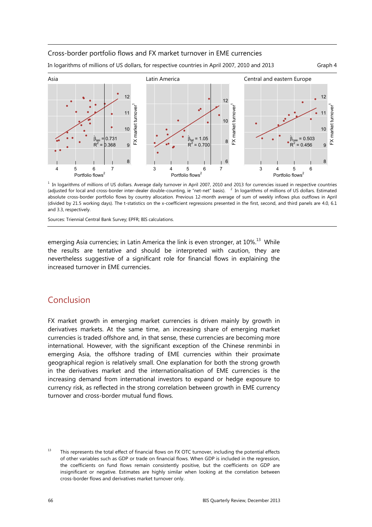#### Cross-border portfolio flows and FX market turnover in EME currencies

In logarithms of millions of US dollars, for respective countries in April 2007, 2010 and 2013 Graph 4

Asia Latin America Central and eastern Europe 12 12 12 FX market turnover<sup>1</sup> FX market turnover<sup>1</sup> FX market turnover<sup>1</sup> FX market turnover -X market turnover FX market turnover 11 11 10 10  $1<sub>0</sub>$ ∧ ∧ ∧ $_{\text{at}}$  = 1.05  $|0.731$  $0.503$ 8  $R^2$  $R^2 = 0.368$  $= 0.700$  $= 0.456$ 9  $R^2$  $\overline{a}$ 8 6 8 4567 34567 3456 Portfolio flows<sup>2</sup> Portfolio flows<sup>2</sup> Portfolio flows<sup>2</sup>

Sources: Triennial Central Bank Survey; EPFR; BIS calculations.

emerging Asia currencies; in Latin America the link is even stronger, at  $10\%$ <sup>13</sup> While the results are tentative and should be interpreted with caution, they are nevertheless suggestive of a significant role for financial flows in explaining the increased turnover in EME currencies.

# Conclusion

FX market growth in emerging market currencies is driven mainly by growth in derivatives markets. At the same time, an increasing share of emerging market currencies is traded offshore and, in that sense, these currencies are becoming more international. However, with the significant exception of the Chinese renminbi in emerging Asia, the offshore trading of EME currencies within their proximate geographical region is relatively small. One explanation for both the strong growth in the derivatives market and the internationalisation of EME currencies is the increasing demand from international investors to expand or hedge exposure to currency risk, as reflected in the strong correlation between growth in EME currency turnover and cross-border mutual fund flows.

 $<sup>1</sup>$  In logarithms of millions of US dollars. Average daily turnover in April 2007, 2010 and 2013 for currencies issued in respective countries</sup> (adjusted for local and cross-border inter-dealer double-counting, ie "net-net" basis). <sup>2</sup> In logarithms of millions of US dollars. Estimated absolute cross-border portfolio flows by country allocation. Previous 12-month average of sum of weekly inflows plus outflows in April (divided by 21.5 working days). The t-statistics on the x-coefficient regressions presented in the first, second, and third panels are 4.0, 6.1 and 3.3, respectively.

<sup>&</sup>lt;sup>13</sup> This represents the total effect of financial flows on FX OTC turnover, including the potential effects of other variables such as GDP or trade on financial flows. When GDP is included in the regression, the coefficients on fund flows remain consistently positive, but the coefficients on GDP are insignificant or negative. Estimates are highly similar when looking at the correlation between cross-border flows and derivatives market turnover only.